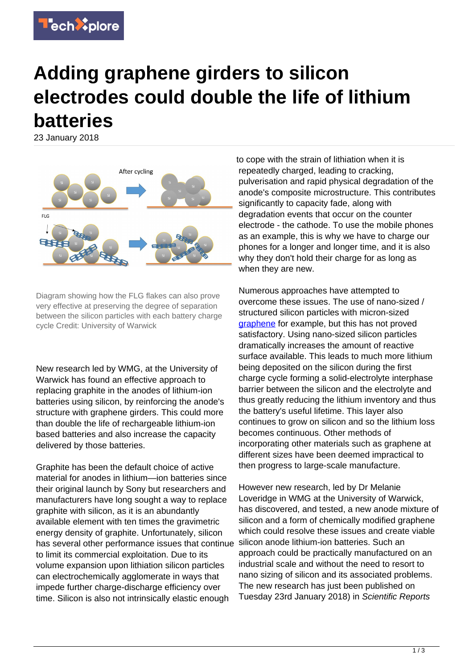

## **Adding graphene girders to silicon electrodes could double the life of lithium batteries**

23 January 2018



Diagram showing how the FLG flakes can also prove very effective at preserving the degree of separation between the silicon particles with each battery charge cycle Credit: University of Warwick

New research led by WMG, at the University of Warwick has found an effective approach to replacing graphite in the anodes of lithium-ion batteries using silicon, by reinforcing the anode's structure with graphene girders. This could more than double the life of rechargeable lithium-ion based batteries and also increase the capacity delivered by those batteries.

Graphite has been the default choice of active material for anodes in lithium—ion batteries since their original launch by Sony but researchers and manufacturers have long sought a way to replace graphite with silicon, as it is an abundantly available element with ten times the gravimetric energy density of graphite. Unfortunately, silicon has several other performance issues that continue to limit its commercial exploitation. Due to its volume expansion upon lithiation silicon particles can electrochemically agglomerate in ways that impede further charge-discharge efficiency over time. Silicon is also not intrinsically elastic enough

to cope with the strain of lithiation when it is repeatedly charged, leading to cracking, pulverisation and rapid physical degradation of the anode's composite microstructure. This contributes significantly to capacity fade, along with degradation events that occur on the counter electrode - the cathode. To use the mobile phones as an example, this is why we have to charge our phones for a longer and longer time, and it is also why they don't hold their charge for as long as when they are new.

Numerous approaches have attempted to overcome these issues. The use of nano-sized / structured silicon particles with micron-sized [graphene](https://techxplore.com/tags/graphene/) for example, but this has not proved satisfactory. Using nano-sized silicon particles dramatically increases the amount of reactive surface available. This leads to much more lithium being deposited on the silicon during the first charge cycle forming a solid-electrolyte interphase barrier between the silicon and the electrolyte and thus greatly reducing the lithium inventory and thus the battery's useful lifetime. This layer also continues to grow on silicon and so the lithium loss becomes continuous. Other methods of incorporating other materials such as graphene at different sizes have been deemed impractical to then progress to large-scale manufacture.

However new research, led by Dr Melanie Loveridge in WMG at the University of Warwick, has discovered, and tested, a new anode mixture of silicon and a form of chemically modified graphene which could resolve these issues and create viable silicon anode lithium-ion batteries. Such an approach could be practically manufactured on an industrial scale and without the need to resort to nano sizing of silicon and its associated problems. The new research has just been published on Tuesday 23rd January 2018) in Scientific Reports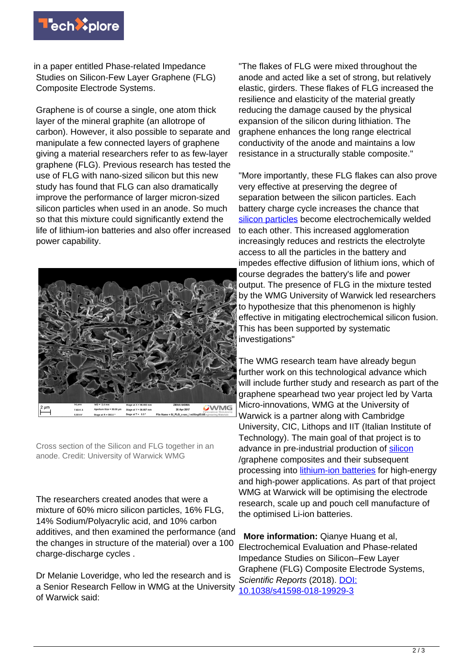

in a paper entitled Phase-related Impedance Studies on Silicon-Few Layer Graphene (FLG) Composite Electrode Systems.

Graphene is of course a single, one atom thick layer of the mineral graphite (an allotrope of carbon). However, it also possible to separate and manipulate a few connected layers of graphene giving a material researchers refer to as few-layer graphene (FLG). Previous research has tested the use of FLG with nano-sized silicon but this new study has found that FLG can also dramatically improve the performance of larger micron-sized silicon particles when used in an anode. So much so that this mixture could significantly extend the life of lithium-ion batteries and also offer increased power capability.



Cross section of the Silicon and FLG together in an anode. Credit: University of Warwick WMG

The researchers created anodes that were a mixture of 60% micro silicon particles, 16% FLG, 14% Sodium/Polyacrylic acid, and 10% carbon additives, and then examined the performance (and the changes in structure of the material) over a 100 charge-discharge cycles .

Dr Melanie Loveridge, who led the research and is a Senior Research Fellow in WMG at the University of Warwick said:

"The flakes of FLG were mixed throughout the anode and acted like a set of strong, but relatively elastic, girders. These flakes of FLG increased the resilience and elasticity of the material greatly reducing the damage caused by the physical expansion of the silicon during lithiation. The graphene enhances the long range electrical conductivity of the anode and maintains a low resistance in a structurally stable composite."

"More importantly, these FLG flakes can also prove very effective at preserving the degree of separation between the silicon particles. Each battery charge cycle increases the chance that [silicon particles](https://techxplore.com/tags/silicon+particles/) become electrochemically welded to each other. This increased agglomeration increasingly reduces and restricts the electrolyte access to all the particles in the battery and impedes effective diffusion of lithium ions, which of course degrades the battery's life and power output. The presence of FLG in the mixture tested by the WMG University of Warwick led researchers to hypothesize that this phenomenon is highly effective in mitigating electrochemical silicon fusion. This has been supported by systematic investigations"

The WMG research team have already begun further work on this technological advance which will include further study and research as part of the graphene spearhead two year project led by Varta Micro-innovations, WMG at the University of Warwick is a partner along with Cambridge University, CIC, Lithops and IIT (Italian Institute of Technology). The main goal of that project is to advance in pre-industrial production of [silicon](https://techxplore.com/tags/silicon/) /graphene composites and their subsequent processing into [lithium-ion batteries](https://techxplore.com/tags/lithium-ion+batteries/) for high-energy and high-power applications. As part of that project WMG at Warwick will be optimising the electrode research, scale up and pouch cell manufacture of the optimised Li-ion batteries.

 **More information:** Qianye Huang et al, Electrochemical Evaluation and Phase-related Impedance Studies on Silicon–Few Layer Graphene (FLG) Composite Electrode Systems, Scientific Reports (2018). [DOI:](http://dx.doi.org/10.1038/s41598-018-19929-3) [10.1038/s41598-018-19929-3](http://dx.doi.org/10.1038/s41598-018-19929-3)